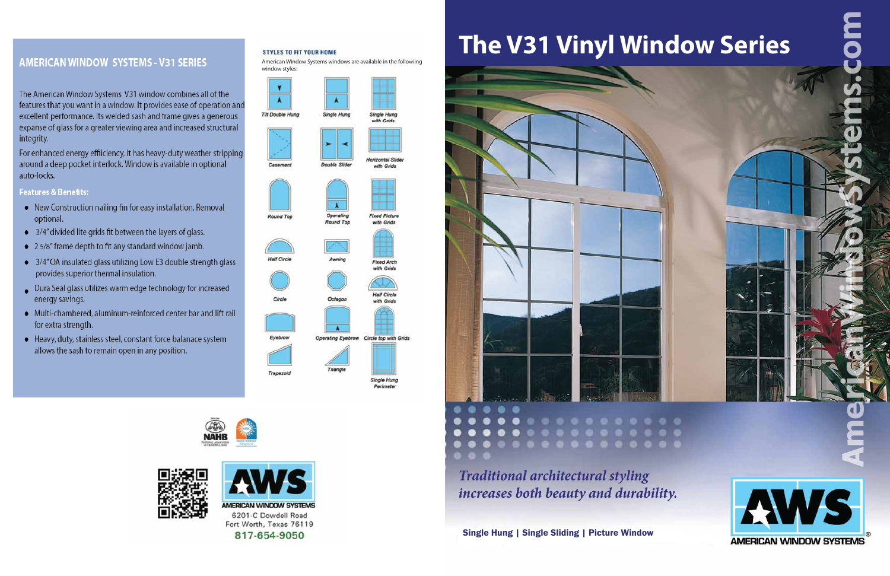### **AMERICAN WINDOW SYSTEMS - V31 SERIES**

The American Window Systems V31 window combines all of the features that you want in a window. It provides ease of operation and excellent performance. Its welded sash and frame gives a generous expanse of glass for a greater viewing area and increased structural integrity.

For enhanced energy effiiciency, it has heavy-duty weather stripping around a deep pocket interlock. Window is available in optional auto-locks.

### **Features & Benefits:**

- New Construction nailing fin for easy installation. Removal optional.
- $\bullet$  3/4" divided lite grids fit between the layers of glass.
- 25/8" frame depth to fit any standard window jamb.
- 3/4" OA insulated glass utilizing Low E3 double strength glass provides superior thermal insulation.
- . Dura Seal glass utilizes warm edge technology for increased energy savings.
- Multi-chambered, aluminum-reinforced center bar and lift rail for extra strength.
- · Heavy, duty, stainless steel, constant force balanace system allows the sash to remain open in any position.



American Window Systems windows are available in the followiing window styles:







# **The V31 Vinyl Window Series**



**Traditional architectural styling** increases both beauty and durability.

**Single Hung | Single Sliding | Picture Window**